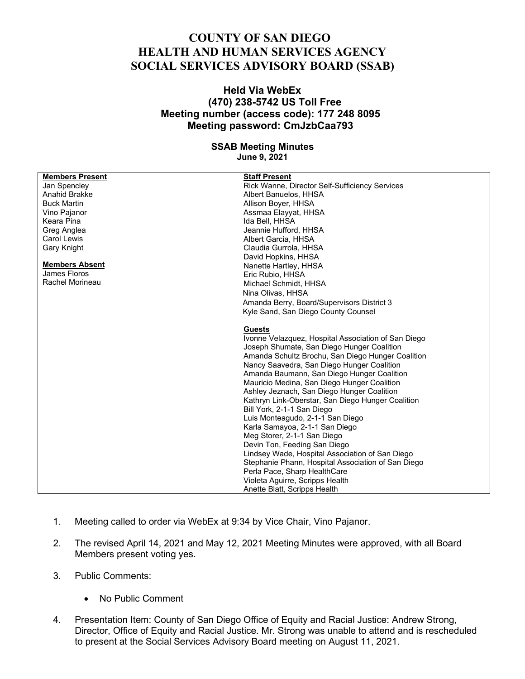## **COUNTY OF SAN DIEGO HEALTH AND HUMAN SERVICES AGENCY SOCIAL SERVICES ADVISORY BOARD (SSAB)**

## **Held Via WebEx (470) 238-5742 US Toll Free Meeting number (access code): 177 248 8095 Meeting password: CmJzbCaa793**

## **SSAB Meeting Minutes June 9, 2021**

| <b>Members Present</b> | <b>Staff Present</b>                                |
|------------------------|-----------------------------------------------------|
| Jan Spencley           | Rick Wanne, Director Self-Sufficiency Services      |
| Anahid Brakke          | Albert Banuelos, HHSA                               |
| <b>Buck Martin</b>     | Allison Boyer, HHSA                                 |
| Vino Pajanor           | Assmaa Elayyat, HHSA                                |
| Keara Pina             | Ida Bell, HHSA                                      |
| Greg Anglea            | Jeannie Hufford, HHSA                               |
| Carol Lewis            | Albert Garcia, HHSA                                 |
| Gary Knight            | Claudia Gurrola, HHSA                               |
|                        | David Hopkins, HHSA                                 |
| <b>Members Absent</b>  | Nanette Hartley, HHSA                               |
| James Floros           | Eric Rubio, HHSA                                    |
| Rachel Morineau        | Michael Schmidt, HHSA                               |
|                        | Nina Olivas, HHSA                                   |
|                        | Amanda Berry, Board/Supervisors District 3          |
|                        | Kyle Sand, San Diego County Counsel                 |
|                        |                                                     |
|                        | <b>Guests</b>                                       |
|                        | Ivonne Velazquez, Hospital Association of San Diego |
|                        | Joseph Shumate, San Diego Hunger Coalition          |
|                        | Amanda Schultz Brochu, San Diego Hunger Coalition   |
|                        | Nancy Saavedra, San Diego Hunger Coalition          |
|                        | Amanda Baumann, San Diego Hunger Coalition          |
|                        | Mauricio Medina, San Diego Hunger Coalition         |
|                        | Ashley Jeznach, San Diego Hunger Coalition          |
|                        | Kathryn Link-Oberstar, San Diego Hunger Coalition   |
|                        | Bill York, 2-1-1 San Diego                          |
|                        |                                                     |
|                        | Luis Monteagudo, 2-1-1 San Diego                    |
|                        | Karla Samayoa, 2-1-1 San Diego                      |
|                        | Meg Storer, 2-1-1 San Diego                         |
|                        | Devin Ton, Feeding San Diego                        |
|                        | Lindsey Wade, Hospital Association of San Diego     |
|                        | Stephanie Phann, Hospital Association of San Diego  |
|                        | Perla Pace, Sharp HealthCare                        |
|                        | Violeta Aguirre, Scripps Health                     |
|                        | Anette Blatt, Scripps Health                        |

- 1. Meeting called to order via WebEx at 9:34 by Vice Chair, Vino Pajanor.
- 2. The revised April 14, 2021 and May 12, 2021 Meeting Minutes were approved, with all Board Members present voting yes.
- 3. Public Comments:
	- No Public Comment
- 4. Presentation Item: County of San Diego Office of Equity and Racial Justice: Andrew Strong, Director, Office of Equity and Racial Justice. Mr. Strong was unable to attend and is rescheduled to present at the Social Services Advisory Board meeting on August 11, 2021.